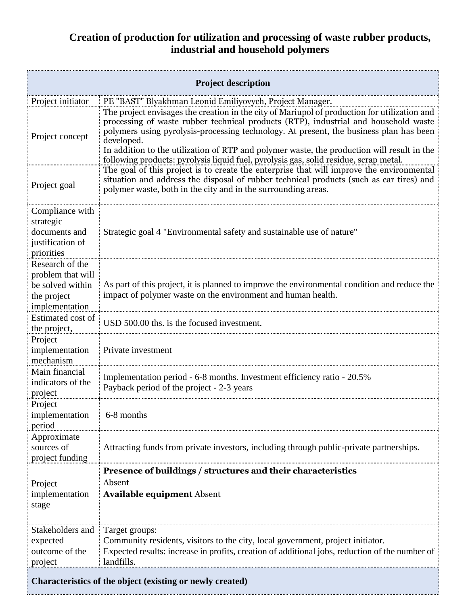## **Creation of production for utilization and processing of waste rubber products, industrial and household polymers**

| <b>Project description</b>                                                                |                                                                                                                                                                                                                                                                                                                                                                                                                                                                                    |  |
|-------------------------------------------------------------------------------------------|------------------------------------------------------------------------------------------------------------------------------------------------------------------------------------------------------------------------------------------------------------------------------------------------------------------------------------------------------------------------------------------------------------------------------------------------------------------------------------|--|
| Project initiator                                                                         | PE "BAST" Blyakhman Leonid Emiliyovych, Project Manager.                                                                                                                                                                                                                                                                                                                                                                                                                           |  |
| Project concept                                                                           | The project envisages the creation in the city of Mariupol of production for utilization and<br>processing of waste rubber technical products (RTP), industrial and household waste<br>polymers using pyrolysis-processing technology. At present, the business plan has been<br>developed.<br>In addition to the utilization of RTP and polymer waste, the production will result in the<br>following products: pyrolysis liquid fuel, pyrolysis gas, solid residue, scrap metal. |  |
| Project goal                                                                              | The goal of this project is to create the enterprise that will improve the environmental<br>situation and address the disposal of rubber technical products (such as car tires) and<br>polymer waste, both in the city and in the surrounding areas.                                                                                                                                                                                                                               |  |
| Compliance with<br>strategic<br>documents and<br>justification of<br>priorities           | Strategic goal 4 "Environmental safety and sustainable use of nature"                                                                                                                                                                                                                                                                                                                                                                                                              |  |
| Research of the<br>problem that will<br>be solved within<br>the project<br>implementation | As part of this project, it is planned to improve the environmental condition and reduce the<br>impact of polymer waste on the environment and human health.                                                                                                                                                                                                                                                                                                                       |  |
| Estimated cost of<br>the project,                                                         | USD 500.00 ths. is the focused investment.                                                                                                                                                                                                                                                                                                                                                                                                                                         |  |
| Project<br>implementation<br>mechanism                                                    | Private investment                                                                                                                                                                                                                                                                                                                                                                                                                                                                 |  |
| Main financial<br>indicators of the<br>project                                            | Implementation period - 6-8 months. Investment efficiency ratio - 20.5%<br>Payback period of the project - 2-3 years                                                                                                                                                                                                                                                                                                                                                               |  |
| Project<br>implementation<br>period                                                       | 6-8 months                                                                                                                                                                                                                                                                                                                                                                                                                                                                         |  |
| Approximate<br>sources of<br>project funding                                              | Attracting funds from private investors, including through public-private partnerships.                                                                                                                                                                                                                                                                                                                                                                                            |  |
| Project<br>implementation<br>stage                                                        | Presence of buildings / structures and their characteristics<br>Absent<br><b>Available equipment Absent</b>                                                                                                                                                                                                                                                                                                                                                                        |  |
| Stakeholders and<br>expected<br>outcome of the<br>project                                 | Target groups:<br>Community residents, visitors to the city, local government, project initiator.<br>Expected results: increase in profits, creation of additional jobs, reduction of the number of<br>landfills.                                                                                                                                                                                                                                                                  |  |
| Characteristics of the object (existing or newly created)                                 |                                                                                                                                                                                                                                                                                                                                                                                                                                                                                    |  |